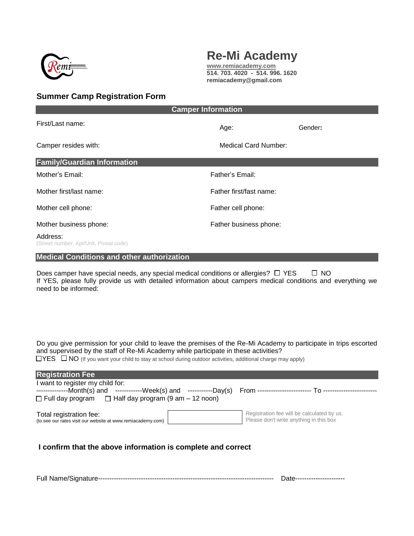

# **Re-Mi Academy**

**[www.remiacademy.com](http://www.remiacademy.com/) 514. 703. 4020 - 514. 996. 1620 remiacademy@gmail.com**

## **Summer Camp Registration Form**

| <b>Camper Information</b>                          |                        |                         |  |
|----------------------------------------------------|------------------------|-------------------------|--|
| First/Last name:                                   | Age:                   | Gender:                 |  |
| Camper resides with:                               | Medical Card Number:   |                         |  |
| <b>Family/Guardian Information</b>                 |                        |                         |  |
| Mother's Email:                                    | Father's Email:        |                         |  |
| Mother first/last name:                            |                        | Father first/fast name: |  |
| Mother cell phone:                                 | Father cell phone:     |                         |  |
| Mother business phone:                             | Father business phone: |                         |  |
| Address:<br>(Street number, Apt/Unit, Postal code) |                        |                         |  |
| <b>Medical Conditions and other authorization</b>  |                        |                         |  |
| $\Box$<br>$\Box$ $\Lambda$ $\cap$                  |                        |                         |  |

Does camper have special needs, any special medical conditions or allergies?  $\Box$  YES  $\Box$  NO If YES, please fully provide us with detailed information about campers medical conditions and everything we need to be informed:

Do you give permission for your child to leave the premises of the Re-Mi Academy to participate in trips escorted and supervised by the staff of Re-Mi Academy while participate in these activities?  $\Box$ YES  $\Box$  NO (If you want your child to stay at school during outdoor activities, additional charge may apply)

| <b>Registration Fee</b>                                                                |                                                                                       |  |
|----------------------------------------------------------------------------------------|---------------------------------------------------------------------------------------|--|
| I want to register my child for:                                                       |                                                                                       |  |
|                                                                                        |                                                                                       |  |
| $\Box$ Full day program $\Box$ Half day program (9 am – 12 noon)                       |                                                                                       |  |
| Total registration fee:<br>(to see our rates visit our website at www.remiacademy.com) | Registration fee will be calculated by us.<br>Please don't write anything in this box |  |
| I confirm that the above information is complete and correct                           |                                                                                       |  |

Full Name/Signature------------------------------------------------------------------------------ Date----------------------